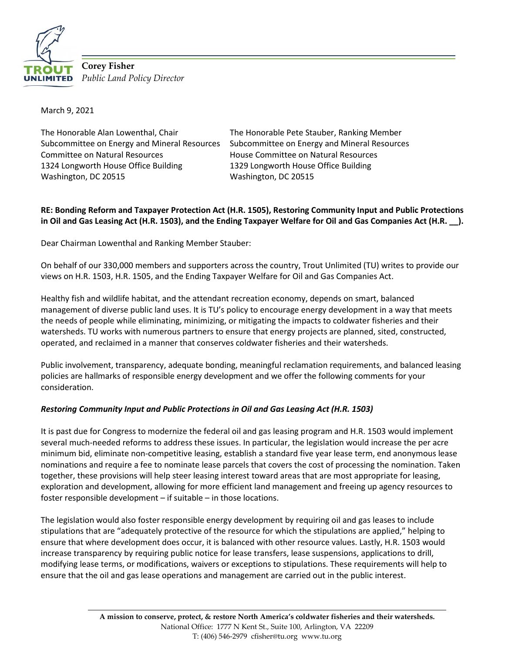

**Corey Fisher** *Public Land Policy Director*

March 9, 2021

The Honorable Alan Lowenthal, Chair Subcommittee on Energy and Mineral Resources Committee on Natural Resources 1324 Longworth House Office Building Washington, DC 20515

The Honorable Pete Stauber, Ranking Member Subcommittee on Energy and Mineral Resources House Committee on Natural Resources 1329 Longworth House Office Building Washington, DC 20515

## **RE: Bonding Reform and Taxpayer Protection Act (H.R. 1505), Restoring Community Input and Public Protections in Oil and Gas Leasing Act (H.R. 1503), and the Ending Taxpayer Welfare for Oil and Gas Companies Act (H.R. \_\_).**

Dear Chairman Lowenthal and Ranking Member Stauber:

On behalf of our 330,000 members and supporters across the country, Trout Unlimited (TU) writes to provide our views on H.R. 1503, H.R. 1505, and the Ending Taxpayer Welfare for Oil and Gas Companies Act.

Healthy fish and wildlife habitat, and the attendant recreation economy, depends on smart, balanced management of diverse public land uses. It is TU's policy to encourage energy development in a way that meets the needs of people while eliminating, minimizing, or mitigating the impacts to coldwater fisheries and their watersheds. TU works with numerous partners to ensure that energy projects are planned, sited, constructed, operated, and reclaimed in a manner that conserves coldwater fisheries and their watersheds.

Public involvement, transparency, adequate bonding, meaningful reclamation requirements, and balanced leasing policies are hallmarks of responsible energy development and we offer the following comments for your consideration.

## *Restoring Community Input and Public Protections in Oil and Gas Leasing Act (H.R. 1503)*

It is past due for Congress to modernize the federal oil and gas leasing program and H.R. 1503 would implement several much-needed reforms to address these issues. In particular, the legislation would increase the per acre minimum bid, eliminate non-competitive leasing, establish a standard five year lease term, end anonymous lease nominations and require a fee to nominate lease parcels that covers the cost of processing the nomination. Taken together, these provisions will help steer leasing interest toward areas that are most appropriate for leasing, exploration and development, allowing for more efficient land management and freeing up agency resources to foster responsible development – if suitable – in those locations.

The legislation would also foster responsible energy development by requiring oil and gas leases to include stipulations that are "adequately protective of the resource for which the stipulations are applied," helping to ensure that where development does occur, it is balanced with other resource values. Lastly, H.R. 1503 would increase transparency by requiring public notice for lease transfers, lease suspensions, applications to drill, modifying lease terms, or modifications, waivers or exceptions to stipulations. These requirements will help to ensure that the oil and gas lease operations and management are carried out in the public interest.